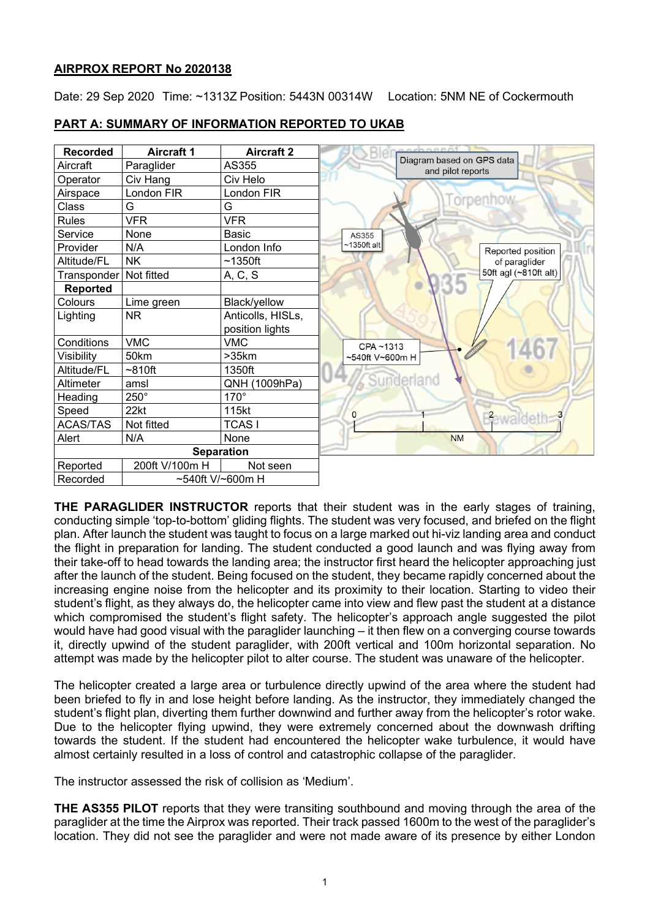# **AIRPROX REPORT No 2020138**

Date: 29 Sep 2020 Time: ~1313Z Position: 5443N 00314W Location: 5NM NE of Cockermouth

| <b>Recorded</b>              | <b>Aircraft 1</b> | <b>Aircraft 2</b> | opennent                                       |
|------------------------------|-------------------|-------------------|------------------------------------------------|
| Aircraft                     | Paraglider        | AS355             | Diagram based on GPS data<br>and pilot reports |
| Operator                     | Civ Hang          | Civ Helo          |                                                |
| Airspace                     | London FIR        | London FIR        |                                                |
| Class                        | G                 | G                 | orpenhov                                       |
| <b>Rules</b>                 | <b>VFR</b>        | <b>VFR</b>        |                                                |
| Service                      | None              | Basic             | AS355                                          |
| Provider                     | N/A               | London Info       | $~1350$ ft alt<br>Reported position            |
| Altitude/FL                  | <b>NK</b>         | $~1350$ ft        | of paraglider                                  |
| Transponder   Not fitted     |                   | A, C, S           | 50ft agl (~810ft alt)                          |
| <b>Reported</b>              |                   |                   |                                                |
| Colours                      | Lime green        | Black/yellow      |                                                |
| Lighting                     | <b>NR</b>         | Anticolls, HISLs, |                                                |
|                              |                   | position lights   |                                                |
| Conditions                   | <b>VMC</b>        | <b>VMC</b>        | CPA~1313                                       |
| Visibility                   | 50km              | >35km             | ~540ft V~600m H                                |
| Altitude/FL                  | $~10$ ft          | 1350ft            |                                                |
| Altimeter                    | amsl              | QNH (1009hPa)     | Sunderland                                     |
| Heading                      | $250^\circ$       | $170^\circ$       |                                                |
| Speed                        | 22kt              | 115kt             | O                                              |
| ACAS/TAS                     | Not fitted        | <b>TCASI</b>      | <b>Bewaldeth</b>                               |
| Alert                        | N/A               | None              | <b>NM</b>                                      |
|                              |                   | <b>Separation</b> |                                                |
| Reported                     | 200ft V/100m H    | Not seen          |                                                |
| Recorded<br>~540ft V/~600m H |                   |                   |                                                |

# **PART A: SUMMARY OF INFORMATION REPORTED TO UKAB**

**THE PARAGLIDER INSTRUCTOR** reports that their student was in the early stages of training, conducting simple 'top-to-bottom' gliding flights. The student was very focused, and briefed on the flight plan. After launch the student was taught to focus on a large marked out hi-viz landing area and conduct the flight in preparation for landing. The student conducted a good launch and was flying away from their take-off to head towards the landing area; the instructor first heard the helicopter approaching just after the launch of the student. Being focused on the student, they became rapidly concerned about the increasing engine noise from the helicopter and its proximity to their location. Starting to video their student's flight, as they always do, the helicopter came into view and flew past the student at a distance which compromised the student's flight safety. The helicopter's approach angle suggested the pilot would have had good visual with the paraglider launching – it then flew on a converging course towards it, directly upwind of the student paraglider, with 200ft vertical and 100m horizontal separation. No attempt was made by the helicopter pilot to alter course. The student was unaware of the helicopter.

The helicopter created a large area or turbulence directly upwind of the area where the student had been briefed to fly in and lose height before landing. As the instructor, they immediately changed the student's flight plan, diverting them further downwind and further away from the helicopter's rotor wake. Due to the helicopter flying upwind, they were extremely concerned about the downwash drifting towards the student. If the student had encountered the helicopter wake turbulence, it would have almost certainly resulted in a loss of control and catastrophic collapse of the paraglider.

The instructor assessed the risk of collision as 'Medium'.

**THE AS355 PILOT** reports that they were transiting southbound and moving through the area of the paraglider at the time the Airprox was reported. Their track passed 1600m to the west of the paraglider's location. They did not see the paraglider and were not made aware of its presence by either London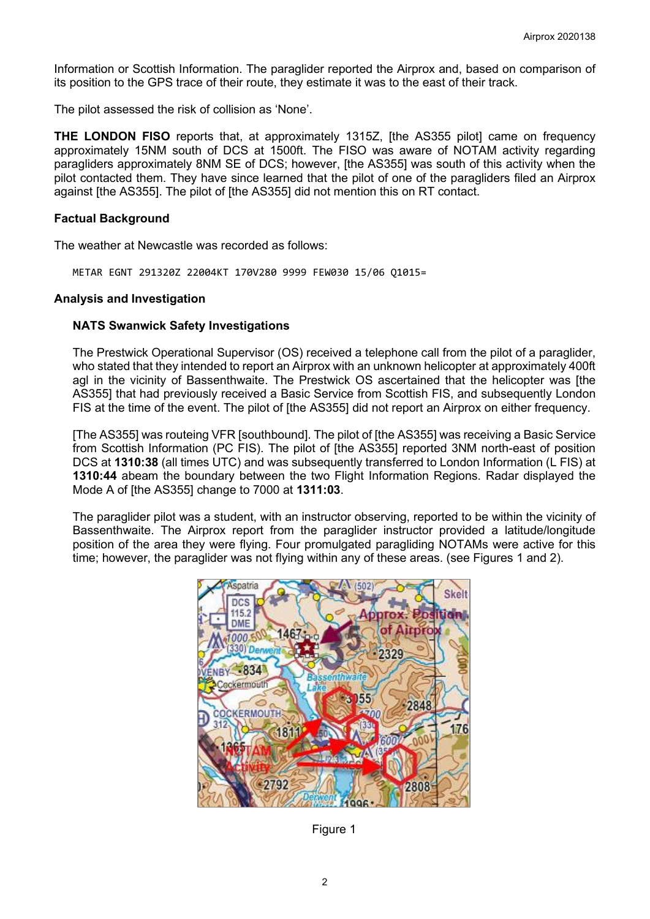Information or Scottish Information. The paraglider reported the Airprox and, based on comparison of its position to the GPS trace of their route, they estimate it was to the east of their track.

The pilot assessed the risk of collision as 'None'.

**THE LONDON FISO** reports that, at approximately 1315Z, [the AS355 pilot] came on frequency approximately 15NM south of DCS at 1500ft. The FISO was aware of NOTAM activity regarding paragliders approximately 8NM SE of DCS; however, [the AS355] was south of this activity when the pilot contacted them. They have since learned that the pilot of one of the paragliders filed an Airprox against [the AS355]. The pilot of [the AS355] did not mention this on RT contact.

## **Factual Background**

The weather at Newcastle was recorded as follows:

METAR EGNT 291320Z 22004KT 170V280 9999 FEW030 15/06 Q1015=

## **Analysis and Investigation**

## **NATS Swanwick Safety Investigations**

The Prestwick Operational Supervisor (OS) received a telephone call from the pilot of a paraglider, who stated that they intended to report an Airprox with an unknown helicopter at approximately 400ft agl in the vicinity of Bassenthwaite. The Prestwick OS ascertained that the helicopter was [the AS355] that had previously received a Basic Service from Scottish FIS, and subsequently London FIS at the time of the event. The pilot of [the AS355] did not report an Airprox on either frequency.

[The AS355] was routeing VFR [southbound]. The pilot of [the AS355] was receiving a Basic Service from Scottish Information (PC FIS). The pilot of [the AS355] reported 3NM north-east of position DCS at **1310:38** (all times UTC) and was subsequently transferred to London Information (L FIS) at **1310:44** abeam the boundary between the two Flight Information Regions. Radar displayed the Mode A of [the AS355] change to 7000 at **1311:03**.

The paraglider pilot was a student, with an instructor observing, reported to be within the vicinity of Bassenthwaite. The Airprox report from the paraglider instructor provided a latitude/longitude position of the area they were flying. Four promulgated paragliding NOTAMs were active for this time; however, the paraglider was not flying within any of these areas. (see Figures 1 and 2).



Figure 1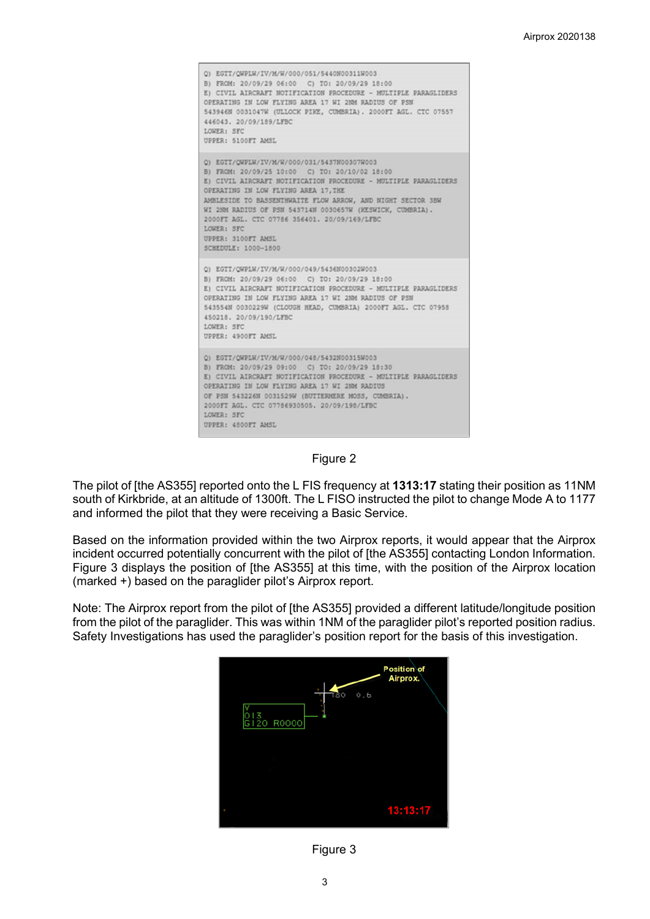Q) EGTT/QWPLW/IV/M/W/000/051/5440N00311W003 B) FROM: 20/09/29 06:00 C) TO: 20/09/29 18:00 E) CIVIL AIRCRAFT NOTIFICATION PROCEDURE - MULTIPLE PARAGLIDERS OPERATING IN LOW FLYING AREA 17 WI 2NM RADIUS OF PSN 543946N 0031047W (ULLOCK PIKE, CUMBRIA). 2000FT AGL. CTC 07557 446043, 20/09/189/LFBC LOWER: SFC UPPER: 5100FT AMSL Q) EGTT/QWPLW/IV/M/W/000/031/5437N00307W003 B) FROM: 20/09/25 10:00 C) TO: 20/10/02 18:00 E) CIVIL AIRCRAFT NOTIFICATION PROCEDURE - MULTIPLE PARAGLIDERS OPERATING IN LOW FLYING AREA 17, THE AMBLESIDE TO BASSENTHWAITE FLOW ARROW, AND NIGHT SECTOR 3BW WI 2NM RADIUS OF PSN 543714N 0030657W (KESWICK, CUMBRIA). 2000FT AGL. CTC 07786 356401, 20/09/169/LFBC LOWER: SFC UPPER: 3100FT AMSL SCHEDULE: 1000-1800 Q) EGTT/QWPLW/IV/M/W/000/049/5436N00302W003 B) FROM: 20/09/29 06:00 C) TO: 20/09/29 18:00 E) CIVIL AIRCRAFT NOTIFICATION PROCEDURE - MULTIPLE PARAGLIDERS OPERATING IN LOW FLYING AREA 17 WI 2NM RADIUS OF PSN 543554N 0030229W (CLOUGH HEAD, CUMBRIA) 2000FT AGL. CTC 07958 450218. 20/09/190/LFBC LOWER: SFC UPPER: 4900FT AMSL Q) EGTT/QWPLW/IV/M/W/000/048/5432N00315W003 B) FROM: 20/09/29 09:00 C) TO: 20/09/29 18:30 E) CIVIL AIRCRAFI NOTIFICATION PROCEDURE - MULTIPLE PARAGLIDERS OPERATING IN LOW FLYING AREA 17 WI 2NM RADIUS OF PSN 543226N 0031529W (BUTTERMERE MOSS, CUMBRIA). 2000FT AGL. CTC 07786930505. 20/09/198/LFBC LOWER: SFC UPPER: 4800FT AMSL

#### Figure 2

The pilot of [the AS355] reported onto the L FIS frequency at **1313:17** stating their position as 11NM south of Kirkbride, at an altitude of 1300ft. The L FISO instructed the pilot to change Mode A to 1177 and informed the pilot that they were receiving a Basic Service.

Based on the information provided within the two Airprox reports, it would appear that the Airprox incident occurred potentially concurrent with the pilot of [the AS355] contacting London Information. Figure 3 displays the position of [the AS355] at this time, with the position of the Airprox location (marked +) based on the paraglider pilot's Airprox report.

Note: The Airprox report from the pilot of [the AS355] provided a different latitude/longitude position from the pilot of the paraglider. This was within 1NM of the paraglider pilot's reported position radius. Safety Investigations has used the paraglider's position report for the basis of this investigation.



Figure 3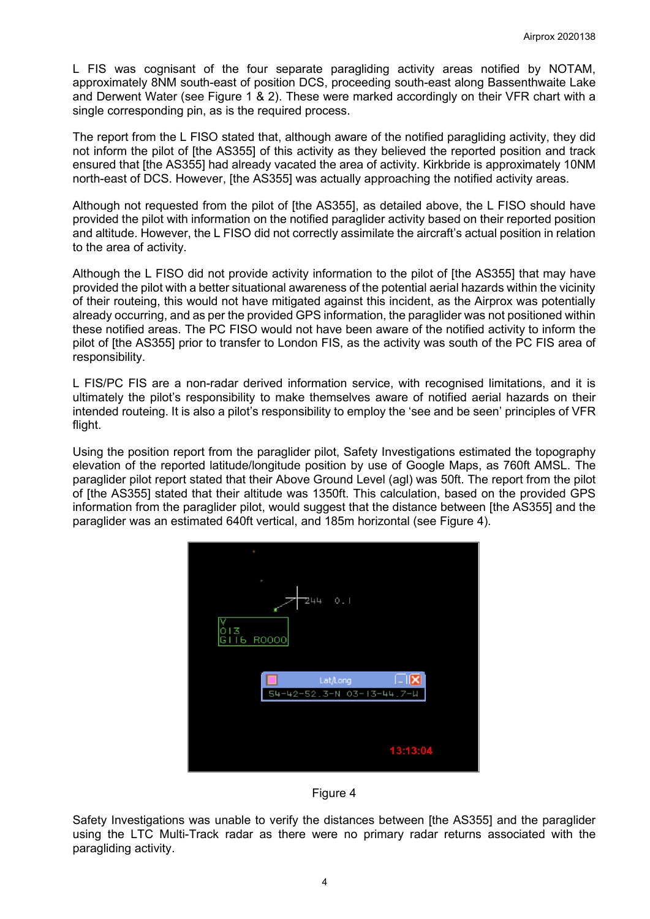L FIS was cognisant of the four separate paragliding activity areas notified by NOTAM, approximately 8NM south-east of position DCS, proceeding south-east along Bassenthwaite Lake and Derwent Water (see Figure 1 & 2). These were marked accordingly on their VFR chart with a single corresponding pin, as is the required process.

The report from the L FISO stated that, although aware of the notified paragliding activity, they did not inform the pilot of [the AS355] of this activity as they believed the reported position and track ensured that [the AS355] had already vacated the area of activity. Kirkbride is approximately 10NM north-east of DCS. However, [the AS355] was actually approaching the notified activity areas.

Although not requested from the pilot of [the AS355], as detailed above, the L FISO should have provided the pilot with information on the notified paraglider activity based on their reported position and altitude. However, the L FISO did not correctly assimilate the aircraft's actual position in relation to the area of activity.

Although the L FISO did not provide activity information to the pilot of [the AS355] that may have provided the pilot with a better situational awareness of the potential aerial hazards within the vicinity of their routeing, this would not have mitigated against this incident, as the Airprox was potentially already occurring, and as per the provided GPS information, the paraglider was not positioned within these notified areas. The PC FISO would not have been aware of the notified activity to inform the pilot of [the AS355] prior to transfer to London FIS, as the activity was south of the PC FIS area of responsibility.

L FIS/PC FIS are a non-radar derived information service, with recognised limitations, and it is ultimately the pilot's responsibility to make themselves aware of notified aerial hazards on their intended routeing. It is also a pilot's responsibility to employ the 'see and be seen' principles of VFR flight.

Using the position report from the paraglider pilot, Safety Investigations estimated the topography elevation of the reported latitude/longitude position by use of Google Maps, as 760ft AMSL. The paraglider pilot report stated that their Above Ground Level (agl) was 50ft. The report from the pilot of [the AS355] stated that their altitude was 1350ft. This calculation, based on the provided GPS information from the paraglider pilot, would suggest that the distance between [the AS355] and the paraglider was an estimated 640ft vertical, and 185m horizontal (see Figure 4).





Safety Investigations was unable to verify the distances between [the AS355] and the paraglider using the LTC Multi-Track radar as there were no primary radar returns associated with the paragliding activity.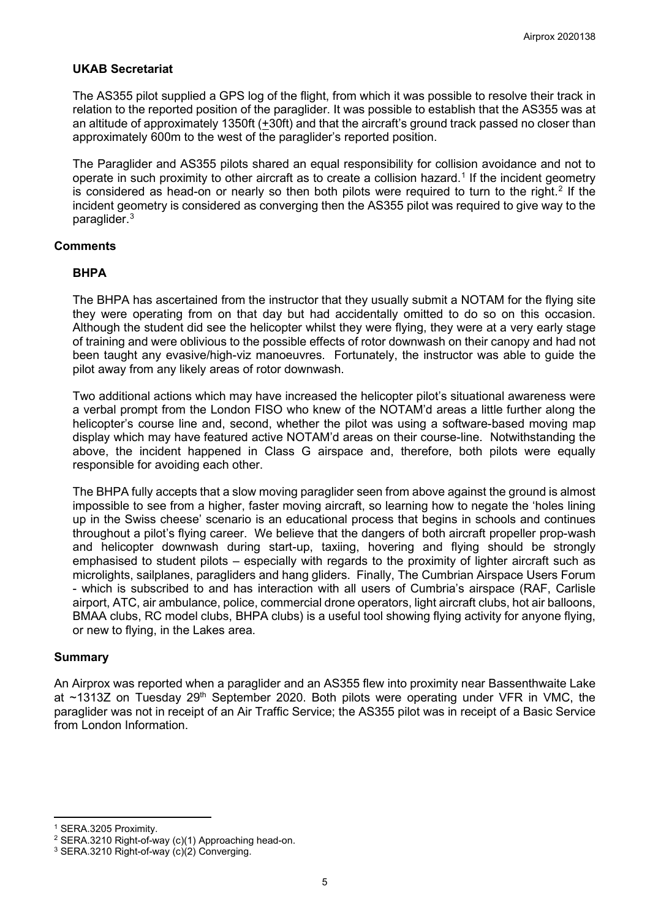## **UKAB Secretariat**

The AS355 pilot supplied a GPS log of the flight, from which it was possible to resolve their track in relation to the reported position of the paraglider. It was possible to establish that the AS355 was at an altitude of approximately 1350ft (+30ft) and that the aircraft's ground track passed no closer than approximately 600m to the west of the paraglider's reported position.

The Paraglider and AS355 pilots shared an equal responsibility for collision avoidance and not to operate in such proximity to other aircraft as to create a collision hazard. [1](#page-4-0) If the incident geometry is considered as head-on or nearly so then both pilots were required to turn to the right.<sup>[2](#page-4-1)</sup> If the incident geometry is considered as converging then the AS355 pilot was required to give way to the paraglider. [3](#page-4-2)

#### **Comments**

#### **BHPA**

The BHPA has ascertained from the instructor that they usually submit a NOTAM for the flying site they were operating from on that day but had accidentally omitted to do so on this occasion. Although the student did see the helicopter whilst they were flying, they were at a very early stage of training and were oblivious to the possible effects of rotor downwash on their canopy and had not been taught any evasive/high-viz manoeuvres. Fortunately, the instructor was able to guide the pilot away from any likely areas of rotor downwash.

Two additional actions which may have increased the helicopter pilot's situational awareness were a verbal prompt from the London FISO who knew of the NOTAM'd areas a little further along the helicopter's course line and, second, whether the pilot was using a software-based moving map display which may have featured active NOTAM'd areas on their course-line. Notwithstanding the above, the incident happened in Class G airspace and, therefore, both pilots were equally responsible for avoiding each other.

The BHPA fully accepts that a slow moving paraglider seen from above against the ground is almost impossible to see from a higher, faster moving aircraft, so learning how to negate the 'holes lining up in the Swiss cheese' scenario is an educational process that begins in schools and continues throughout a pilot's flying career. We believe that the dangers of both aircraft propeller prop-wash and helicopter downwash during start-up, taxiing, hovering and flying should be strongly emphasised to student pilots – especially with regards to the proximity of lighter aircraft such as microlights, sailplanes, paragliders and hang gliders. Finally, The Cumbrian Airspace Users Forum - which is subscribed to and has interaction with all users of Cumbria's airspace (RAF, Carlisle airport, ATC, air ambulance, police, commercial drone operators, light aircraft clubs, hot air balloons, BMAA clubs, RC model clubs, BHPA clubs) is a useful tool showing flying activity for anyone flying, or new to flying, in the Lakes area.

#### **Summary**

An Airprox was reported when a paraglider and an AS355 flew into proximity near Bassenthwaite Lake at  $\sim$ 1313Z on Tuesday 29<sup>th</sup> September 2020. Both pilots were operating under VFR in VMC, the paraglider was not in receipt of an Air Traffic Service; the AS355 pilot was in receipt of a Basic Service from London Information.

<span id="page-4-0"></span><sup>1</sup> SERA.3205 Proximity.

<span id="page-4-1"></span><sup>2</sup> SERA.3210 Right-of-way (c)(1) Approaching head-on.

<span id="page-4-2"></span><sup>3</sup> SERA.3210 Right-of-way (c)(2) Converging.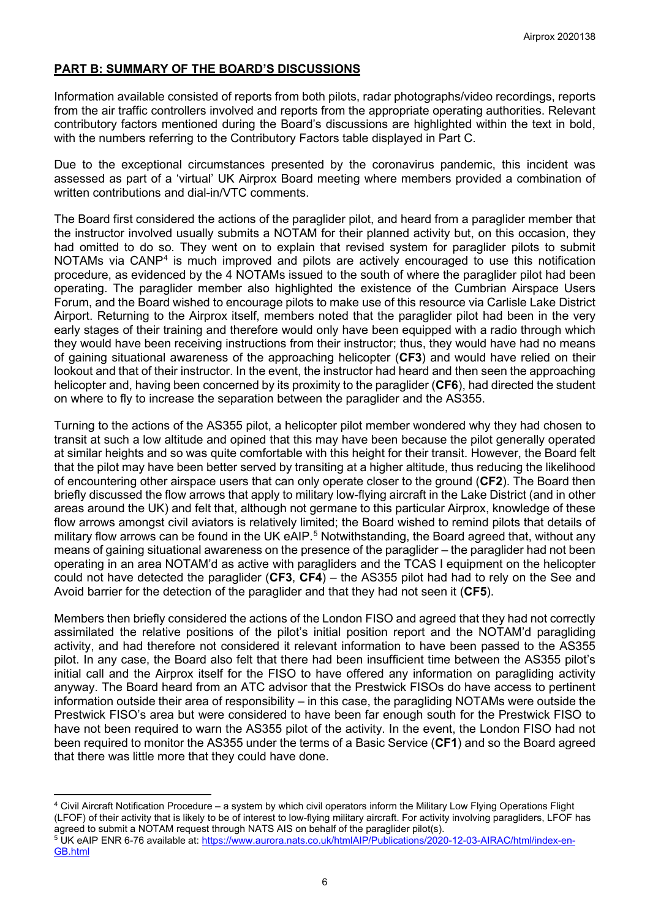# **PART B: SUMMARY OF THE BOARD'S DISCUSSIONS**

Information available consisted of reports from both pilots, radar photographs/video recordings, reports from the air traffic controllers involved and reports from the appropriate operating authorities. Relevant contributory factors mentioned during the Board's discussions are highlighted within the text in bold, with the numbers referring to the Contributory Factors table displayed in Part C.

Due to the exceptional circumstances presented by the coronavirus pandemic, this incident was assessed as part of a 'virtual' UK Airprox Board meeting where members provided a combination of written contributions and dial-in/VTC comments.

The Board first considered the actions of the paraglider pilot, and heard from a paraglider member that the instructor involved usually submits a NOTAM for their planned activity but, on this occasion, they had omitted to do so. They went on to explain that revised system for paraglider pilots to submit NOTAMs via CANP<sup>[4](#page-5-0)</sup> is much improved and pilots are actively encouraged to use this notification procedure, as evidenced by the 4 NOTAMs issued to the south of where the paraglider pilot had been operating. The paraglider member also highlighted the existence of the Cumbrian Airspace Users Forum, and the Board wished to encourage pilots to make use of this resource via Carlisle Lake District Airport. Returning to the Airprox itself, members noted that the paraglider pilot had been in the very early stages of their training and therefore would only have been equipped with a radio through which they would have been receiving instructions from their instructor; thus, they would have had no means of gaining situational awareness of the approaching helicopter (**CF3**) and would have relied on their lookout and that of their instructor. In the event, the instructor had heard and then seen the approaching helicopter and, having been concerned by its proximity to the paraglider (**CF6**), had directed the student on where to fly to increase the separation between the paraglider and the AS355.

Turning to the actions of the AS355 pilot, a helicopter pilot member wondered why they had chosen to transit at such a low altitude and opined that this may have been because the pilot generally operated at similar heights and so was quite comfortable with this height for their transit. However, the Board felt that the pilot may have been better served by transiting at a higher altitude, thus reducing the likelihood of encountering other airspace users that can only operate closer to the ground (**CF2**). The Board then briefly discussed the flow arrows that apply to military low-flying aircraft in the Lake District (and in other areas around the UK) and felt that, although not germane to this particular Airprox, knowledge of these flow arrows amongst civil aviators is relatively limited; the Board wished to remind pilots that details of military flow arrows can be found in the UK eAIP.<sup>[5](#page-5-1)</sup> Notwithstanding, the Board agreed that, without any means of gaining situational awareness on the presence of the paraglider – the paraglider had not been operating in an area NOTAM'd as active with paragliders and the TCAS I equipment on the helicopter could not have detected the paraglider (**CF3**, **CF4**) – the AS355 pilot had had to rely on the See and Avoid barrier for the detection of the paraglider and that they had not seen it (**CF5**).

Members then briefly considered the actions of the London FISO and agreed that they had not correctly assimilated the relative positions of the pilot's initial position report and the NOTAM'd paragliding activity, and had therefore not considered it relevant information to have been passed to the AS355 pilot. In any case, the Board also felt that there had been insufficient time between the AS355 pilot's initial call and the Airprox itself for the FISO to have offered any information on paragliding activity anyway. The Board heard from an ATC advisor that the Prestwick FISOs do have access to pertinent information outside their area of responsibility – in this case, the paragliding NOTAMs were outside the Prestwick FISO's area but were considered to have been far enough south for the Prestwick FISO to have not been required to warn the AS355 pilot of the activity. In the event, the London FISO had not been required to monitor the AS355 under the terms of a Basic Service (**CF1**) and so the Board agreed that there was little more that they could have done.

<span id="page-5-0"></span><sup>4</sup> Civil Aircraft Notification Procedure – a system by which civil operators inform the Military Low Flying Operations Flight (LFOF) of their activity that is likely to be of interest to low-flying military aircraft. For activity involving paragliders, LFOF has agreed to submit a NOTAM request through NATS AIS on behalf of the paraglider pilot(s).

<span id="page-5-1"></span><sup>&</sup>lt;sup>5</sup> UK eAIP ENR 6-76 available at: [https://www.aurora.nats.co.uk/htmlAIP/Publications/2020-12-03-AIRAC/html/index-en-](https://www.aurora.nats.co.uk/htmlAIP/Publications/2020-12-03-AIRAC/html/index-en-GB.html)[GB.html](https://www.aurora.nats.co.uk/htmlAIP/Publications/2020-12-03-AIRAC/html/index-en-GB.html)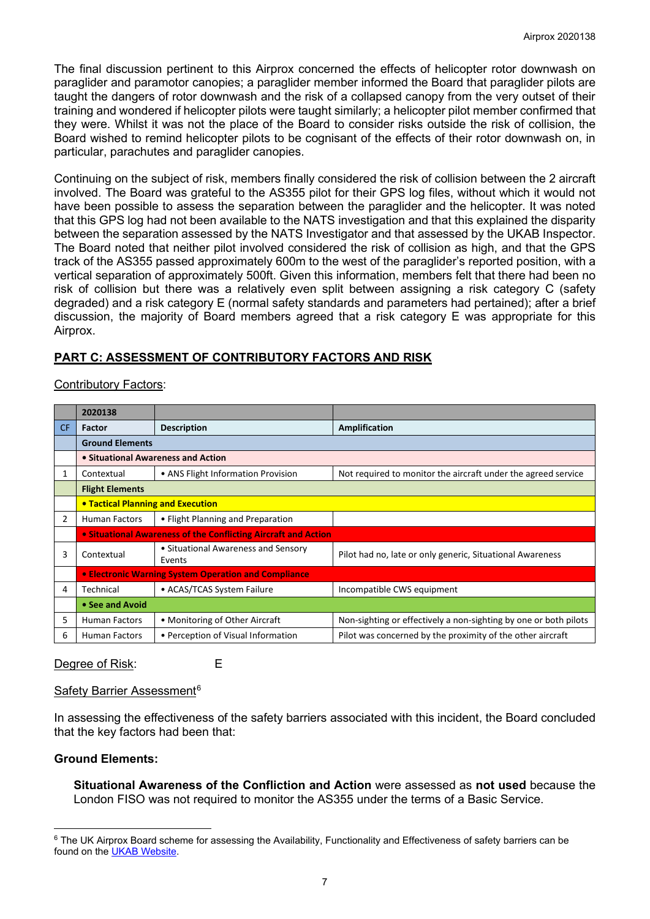The final discussion pertinent to this Airprox concerned the effects of helicopter rotor downwash on paraglider and paramotor canopies; a paraglider member informed the Board that paraglider pilots are taught the dangers of rotor downwash and the risk of a collapsed canopy from the very outset of their training and wondered if helicopter pilots were taught similarly; a helicopter pilot member confirmed that they were. Whilst it was not the place of the Board to consider risks outside the risk of collision, the Board wished to remind helicopter pilots to be cognisant of the effects of their rotor downwash on, in particular, parachutes and paraglider canopies.

Continuing on the subject of risk, members finally considered the risk of collision between the 2 aircraft involved. The Board was grateful to the AS355 pilot for their GPS log files, without which it would not have been possible to assess the separation between the paraglider and the helicopter. It was noted that this GPS log had not been available to the NATS investigation and that this explained the disparity between the separation assessed by the NATS Investigator and that assessed by the UKAB Inspector. The Board noted that neither pilot involved considered the risk of collision as high, and that the GPS track of the AS355 passed approximately 600m to the west of the paraglider's reported position, with a vertical separation of approximately 500ft. Given this information, members felt that there had been no risk of collision but there was a relatively even split between assigning a risk category C (safety degraded) and a risk category E (normal safety standards and parameters had pertained); after a brief discussion, the majority of Board members agreed that a risk category E was appropriate for this Airprox.

# **PART C: ASSESSMENT OF CONTRIBUTORY FACTORS AND RISK**

## Contributory Factors:

|     | 2020138                                                        |                                                                                                     |                                                                  |  |  |  |  |  |  |
|-----|----------------------------------------------------------------|-----------------------------------------------------------------------------------------------------|------------------------------------------------------------------|--|--|--|--|--|--|
| CF. | <b>Factor</b>                                                  | <b>Description</b>                                                                                  | Amplification                                                    |  |  |  |  |  |  |
|     | <b>Ground Elements</b>                                         |                                                                                                     |                                                                  |  |  |  |  |  |  |
|     | • Situational Awareness and Action                             |                                                                                                     |                                                                  |  |  |  |  |  |  |
| 1   | Contextual                                                     | • ANS Flight Information Provision<br>Not required to monitor the aircraft under the agreed service |                                                                  |  |  |  |  |  |  |
|     | <b>Flight Elements</b>                                         |                                                                                                     |                                                                  |  |  |  |  |  |  |
|     | <b>• Tactical Planning and Execution</b>                       |                                                                                                     |                                                                  |  |  |  |  |  |  |
| 2   | <b>Human Factors</b>                                           | • Flight Planning and Preparation                                                                   |                                                                  |  |  |  |  |  |  |
|     | • Situational Awareness of the Conflicting Aircraft and Action |                                                                                                     |                                                                  |  |  |  |  |  |  |
| 3   | Contextual                                                     | • Situational Awareness and Sensory<br>Events                                                       | Pilot had no, late or only generic, Situational Awareness        |  |  |  |  |  |  |
|     | • Electronic Warning System Operation and Compliance           |                                                                                                     |                                                                  |  |  |  |  |  |  |
| 4   | Technical                                                      | • ACAS/TCAS System Failure                                                                          | Incompatible CWS equipment                                       |  |  |  |  |  |  |
|     | • See and Avoid                                                |                                                                                                     |                                                                  |  |  |  |  |  |  |
| 5.  | <b>Human Factors</b>                                           | • Monitoring of Other Aircraft                                                                      | Non-sighting or effectively a non-sighting by one or both pilots |  |  |  |  |  |  |
| 6   | • Perception of Visual Information<br><b>Human Factors</b>     |                                                                                                     | Pilot was concerned by the proximity of the other aircraft       |  |  |  |  |  |  |

Degree of Risk: E

## Safety Barrier Assessment<sup>[6](#page-6-0)</sup>

In assessing the effectiveness of the safety barriers associated with this incident, the Board concluded that the key factors had been that:

## **Ground Elements:**

**Situational Awareness of the Confliction and Action** were assessed as **not used** because the London FISO was not required to monitor the AS355 under the terms of a Basic Service.

<span id="page-6-0"></span><sup>&</sup>lt;sup>6</sup> The UK Airprox Board scheme for assessing the Availability, Functionality and Effectiveness of safety barriers can be found on the [UKAB Website.](http://www.airproxboard.org.uk/Learn-more/Airprox-Barrier-Assessment/)